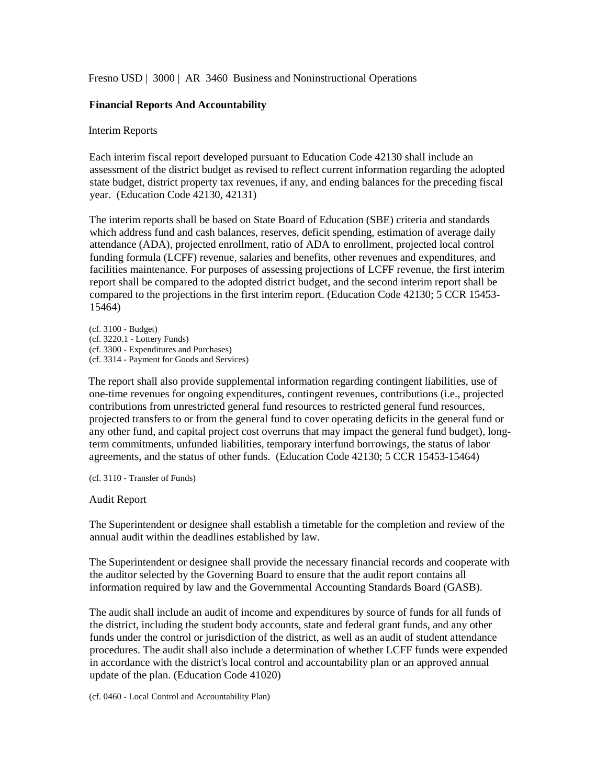Fresno USD | 3000 | AR 3460 Business and Noninstructional Operations

# **Financial Reports And Accountability**

## Interim Reports

Each interim fiscal report developed pursuant to Education Code 42130 shall include an assessment of the district budget as revised to reflect current information regarding the adopted state budget, district property tax revenues, if any, and ending balances for the preceding fiscal year. (Education Code 42130, 42131)

The interim reports shall be based on State Board of Education (SBE) criteria and standards which address fund and cash balances, reserves, deficit spending, estimation of average daily attendance (ADA), projected enrollment, ratio of ADA to enrollment, projected local control funding formula (LCFF) revenue, salaries and benefits, other revenues and expenditures, and facilities maintenance. For purposes of assessing projections of LCFF revenue, the first interim report shall be compared to the adopted district budget, and the second interim report shall be compared to the projections in the first interim report. (Education Code 42130; 5 CCR 15453- 15464)

(cf. 3100 - Budget) (cf. 3220.1 - Lottery Funds) (cf. 3300 - Expenditures and Purchases) (cf. 3314 - Payment for Goods and Services)

The report shall also provide supplemental information regarding contingent liabilities, use of one-time revenues for ongoing expenditures, contingent revenues, contributions (i.e., projected contributions from unrestricted general fund resources to restricted general fund resources, projected transfers to or from the general fund to cover operating deficits in the general fund or any other fund, and capital project cost overruns that may impact the general fund budget), longterm commitments, unfunded liabilities, temporary interfund borrowings, the status of labor agreements, and the status of other funds. (Education Code 42130; 5 CCR 15453-15464)

(cf. 3110 - Transfer of Funds)

### Audit Report

The Superintendent or designee shall establish a timetable for the completion and review of the annual audit within the deadlines established by law.

The Superintendent or designee shall provide the necessary financial records and cooperate with the auditor selected by the Governing Board to ensure that the audit report contains all information required by law and the Governmental Accounting Standards Board (GASB).

The audit shall include an audit of income and expenditures by source of funds for all funds of the district, including the student body accounts, state and federal grant funds, and any other funds under the control or jurisdiction of the district, as well as an audit of student attendance procedures. The audit shall also include a determination of whether LCFF funds were expended in accordance with the district's local control and accountability plan or an approved annual update of the plan. (Education Code 41020)

(cf. 0460 - Local Control and Accountability Plan)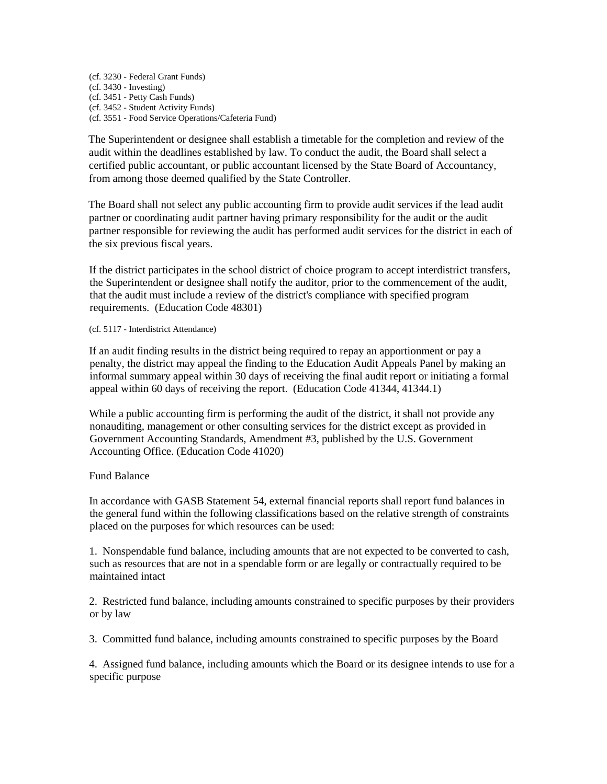(cf. 3230 - Federal Grant Funds) (cf. 3430 - Investing) (cf. 3451 - Petty Cash Funds) (cf. 3452 - Student Activity Funds) (cf. 3551 - Food Service Operations/Cafeteria Fund)

The Superintendent or designee shall establish a timetable for the completion and review of the audit within the deadlines established by law. To conduct the audit, the Board shall select a certified public accountant, or public accountant licensed by the State Board of Accountancy, from among those deemed qualified by the State Controller.

The Board shall not select any public accounting firm to provide audit services if the lead audit partner or coordinating audit partner having primary responsibility for the audit or the audit partner responsible for reviewing the audit has performed audit services for the district in each of the six previous fiscal years.

If the district participates in the school district of choice program to accept interdistrict transfers, the Superintendent or designee shall notify the auditor, prior to the commencement of the audit, that the audit must include a review of the district's compliance with specified program requirements. (Education Code 48301)

#### (cf. 5117 - Interdistrict Attendance)

If an audit finding results in the district being required to repay an apportionment or pay a penalty, the district may appeal the finding to the Education Audit Appeals Panel by making an informal summary appeal within 30 days of receiving the final audit report or initiating a formal appeal within 60 days of receiving the report. (Education Code 41344, 41344.1)

While a public accounting firm is performing the audit of the district, it shall not provide any nonauditing, management or other consulting services for the district except as provided in Government Accounting Standards, Amendment #3, published by the U.S. Government Accounting Office. (Education Code 41020)

### Fund Balance

In accordance with GASB Statement 54, external financial reports shall report fund balances in the general fund within the following classifications based on the relative strength of constraints placed on the purposes for which resources can be used:

1. Nonspendable fund balance, including amounts that are not expected to be converted to cash, such as resources that are not in a spendable form or are legally or contractually required to be maintained intact

2. Restricted fund balance, including amounts constrained to specific purposes by their providers or by law

3. Committed fund balance, including amounts constrained to specific purposes by the Board

4. Assigned fund balance, including amounts which the Board or its designee intends to use for a specific purpose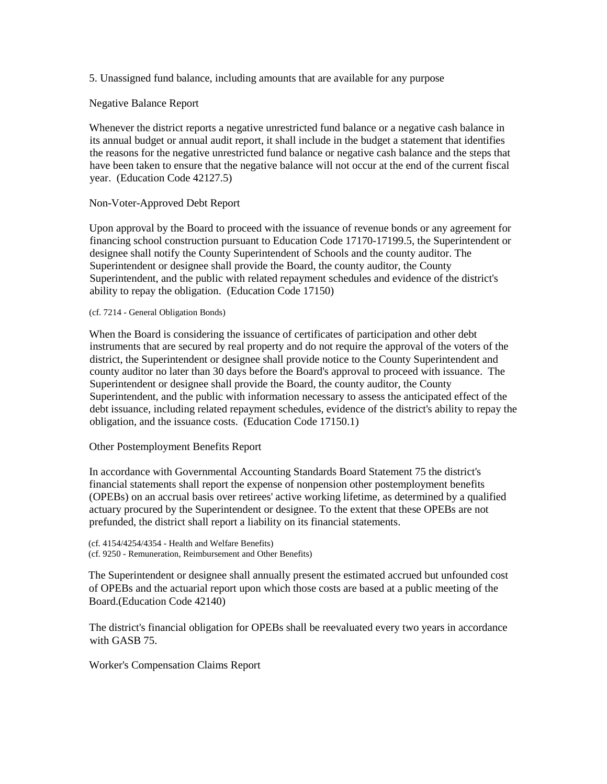5. Unassigned fund balance, including amounts that are available for any purpose

Negative Balance Report

Whenever the district reports a negative unrestricted fund balance or a negative cash balance in its annual budget or annual audit report, it shall include in the budget a statement that identifies the reasons for the negative unrestricted fund balance or negative cash balance and the steps that have been taken to ensure that the negative balance will not occur at the end of the current fiscal year. (Education Code 42127.5)

Non-Voter-Approved Debt Report

Upon approval by the Board to proceed with the issuance of revenue bonds or any agreement for financing school construction pursuant to Education Code 17170-17199.5, the Superintendent or designee shall notify the County Superintendent of Schools and the county auditor. The Superintendent or designee shall provide the Board, the county auditor, the County Superintendent, and the public with related repayment schedules and evidence of the district's ability to repay the obligation. (Education Code 17150)

(cf. 7214 - General Obligation Bonds)

When the Board is considering the issuance of certificates of participation and other debt instruments that are secured by real property and do not require the approval of the voters of the district, the Superintendent or designee shall provide notice to the County Superintendent and county auditor no later than 30 days before the Board's approval to proceed with issuance. The Superintendent or designee shall provide the Board, the county auditor, the County Superintendent, and the public with information necessary to assess the anticipated effect of the debt issuance, including related repayment schedules, evidence of the district's ability to repay the obligation, and the issuance costs. (Education Code 17150.1)

Other Postemployment Benefits Report

In accordance with Governmental Accounting Standards Board Statement 75 the district's financial statements shall report the expense of nonpension other postemployment benefits (OPEBs) on an accrual basis over retirees' active working lifetime, as determined by a qualified actuary procured by the Superintendent or designee. To the extent that these OPEBs are not prefunded, the district shall report a liability on its financial statements.

(cf. 4154/4254/4354 - Health and Welfare Benefits) (cf. 9250 - Remuneration, Reimbursement and Other Benefits)

The Superintendent or designee shall annually present the estimated accrued but unfounded cost of OPEBs and the actuarial report upon which those costs are based at a public meeting of the Board.(Education Code 42140)

The district's financial obligation for OPEBs shall be reevaluated every two years in accordance with GASB 75.

Worker's Compensation Claims Report